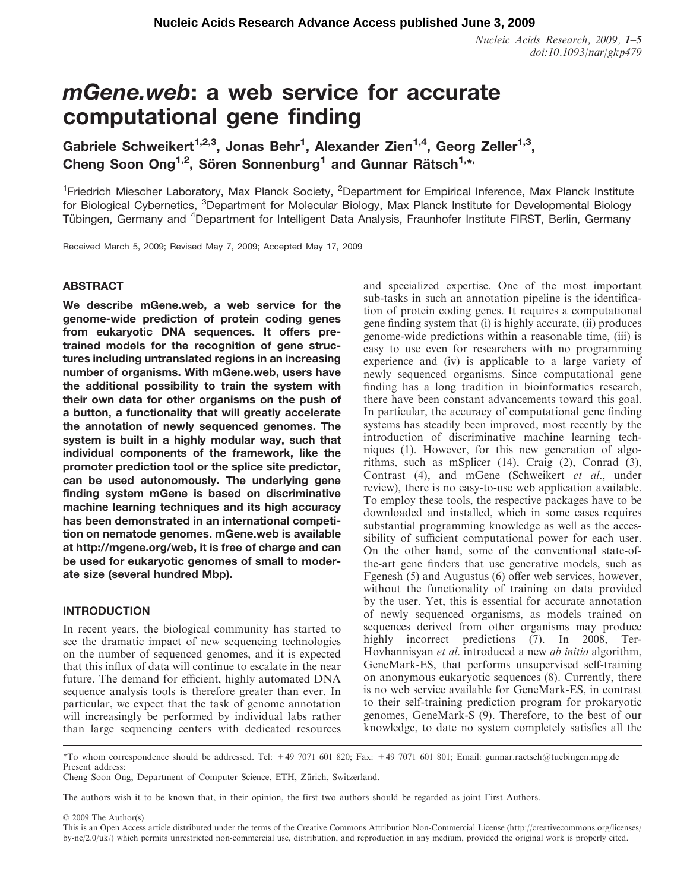Nucleic Acids Research, 2009, 1–5 doi:10.1093/nar/gkp479

# mGene.web: a web service for accurate computational gene finding

Gabriele Schweikert<sup>1,2,3</sup>, Jonas Behr<sup>1</sup>, Alexander Zien<sup>1,4</sup>, Georg Zeller<sup>1,3</sup>, Cheng Soon Ong<sup>1,2</sup>, Sören Sonnenburg<sup>1</sup> and Gunnar Rätsch<sup>1,\*</sup>

<sup>1</sup> Friedrich Miescher Laboratory, Max Planck Society, <sup>2</sup> Department for Empirical Inference, Max Planck Institute for Biological Cybernetics, <sup>3</sup>Department for Molecular Biology, Max Planck Institute for Developmental Biology Tübingen, Germany and <sup>4</sup>Department for Intelligent Data Analysis, Fraunhofer Institute FIRST, Berlin, Germany

Received March 5, 2009; Revised May 7, 2009; Accepted May 17, 2009

## ABSTRACT

We describe mGene.web, a web service for the genome-wide prediction of protein coding genes from eukaryotic DNA sequences. It offers pretrained models for the recognition of gene structures including untranslated regions in an increasing number of organisms. With mGene.web, users have the additional possibility to train the system with their own data for other organisms on the push of a button, a functionality that will greatly accelerate the annotation of newly sequenced genomes. The system is built in a highly modular way, such that individual components of the framework, like the promoter prediction tool or the splice site predictor, can be used autonomously. The underlying gene finding system mGene is based on discriminative machine learning techniques and its high accuracy has been demonstrated in an international competition on nematode genomes. mGene.web is available at http://mgene.org/web, it is free of charge and can be used for eukaryotic genomes of small to moderate size (several hundred Mbp).

## INTRODUCTION

In recent years, the biological community has started to see the dramatic impact of new sequencing technologies on the number of sequenced genomes, and it is expected that this influx of data will continue to escalate in the near future. The demand for efficient, highly automated DNA sequence analysis tools is therefore greater than ever. In particular, we expect that the task of genome annotation will increasingly be performed by individual labs rather than large sequencing centers with dedicated resources

and specialized expertise. One of the most important sub-tasks in such an annotation pipeline is the identification of protein coding genes. It requires a computational gene finding system that (i) is highly accurate, (ii) produces genome-wide predictions within a reasonable time, (iii) is easy to use even for researchers with no programming experience and (iv) is applicable to a large variety of newly sequenced organisms. Since computational gene finding has a long tradition in bioinformatics research, there have been constant advancements toward this goal. In particular, the accuracy of computational gene finding systems has steadily been improved, most recently by the introduction of discriminative machine learning techniques (1). However, for this new generation of algorithms, such as mSplicer (14), Craig (2), Conrad (3), Contrast (4), and mGene (Schweikert et al., under review), there is no easy-to-use web application available. To employ these tools, the respective packages have to be downloaded and installed, which in some cases requires substantial programming knowledge as well as the accessibility of sufficient computational power for each user. On the other hand, some of the conventional state-ofthe-art gene finders that use generative models, such as Fgenesh (5) and Augustus (6) offer web services, however, without the functionality of training on data provided by the user. Yet, this is essential for accurate annotation of newly sequenced organisms, as models trained on sequences derived from other organisms may produce highly incorrect predictions (7). In 2008, Ter-Hovhannisyan et al. introduced a new ab initio algorithm, GeneMark-ES, that performs unsupervised self-training on anonymous eukaryotic sequences (8). Currently, there is no web service available for GeneMark-ES, in contrast to their self-training prediction program for prokaryotic genomes, GeneMark-S (9). Therefore, to the best of our knowledge, to date no system completely satisfies all the

\*To whom correspondence should be addressed. Tel: +49 7071 601 820; Fax: +49 7071 601 801; Email: gunnar.raetsch@tuebingen.mpg.de Present address:

The authors wish it to be known that, in their opinion, the first two authors should be regarded as joint First Authors.

2009 The Author(s)

Cheng Soon Ong, Department of Computer Science, ETH, Zürich, Switzerland.

This is an Open Access article distributed under the terms of the Creative Commons Attribution Non-Commercial License (http://creativecommons.org/licenses/  $b$ y-nc/2.0/uk/) which permits unrestricted non-commercial use, distribution, and reproduction in any medium, provided the original work is properly cited.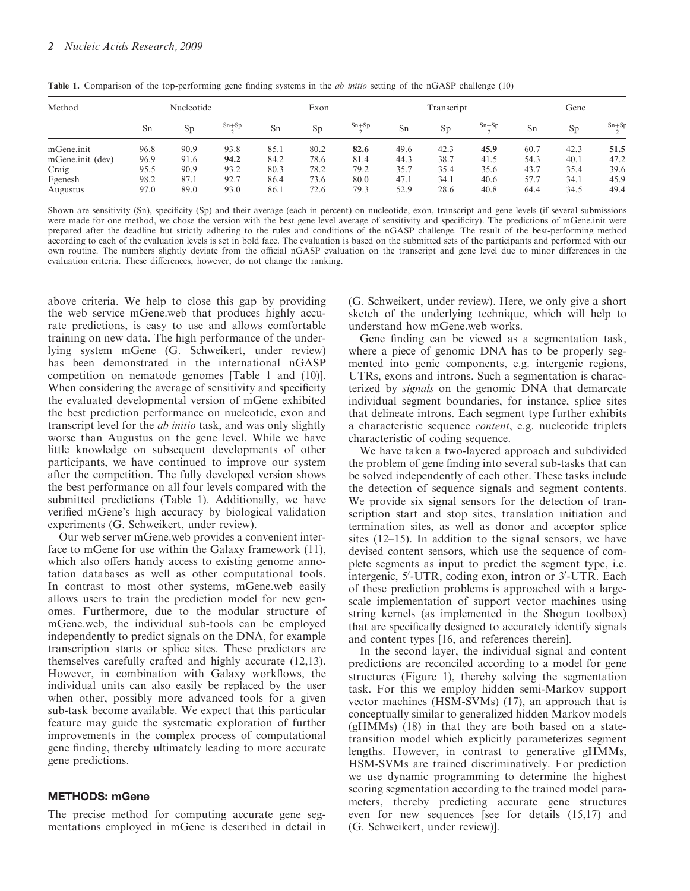| Method           | Nucleotide |      |         | Exon |      |                          | Transcript |      |                   | Gene |      |         |
|------------------|------------|------|---------|------|------|--------------------------|------------|------|-------------------|------|------|---------|
|                  | Sn         | Sp   | $Sn+Sp$ | Sn   | Sp   | $\frac{\text{Sn+Sp}}{2}$ | Sn         | Sp   | $\frac{Sn+Sp}{2}$ | Sn   | Sp   | $Sn+Sp$ |
| mGene.init       | 96.8       | 90.9 | 93.8    | 85.1 | 80.2 | 82.6                     | 49.6       | 42.3 | 45.9              | 60.7 | 42.3 | 51.5    |
| mGene.init (dev) | 96.9       | 91.6 | 94.2    | 84.2 | 78.6 | 81.4                     | 44.3       | 38.7 | 41.5              | 54.3 | 40.1 | 47.2    |
| Craig            | 95.5       | 90.9 | 93.2    | 80.3 | 78.2 | 79.2                     | 35.7       | 35.4 | 35.6              | 43.7 | 35.4 | 39.6    |
| Fgenesh          | 98.2       | 87.1 | 92.7    | 86.4 | 73.6 | 80.0                     | 47.1       | 34.1 | 40.6              | 57.7 | 34.1 | 45.9    |
| Augustus         | 97.0       | 89.0 | 93.0    | 86.1 | 72.6 | 79.3                     | 52.9       | 28.6 | 40.8              | 64.4 | 34.5 | 49.4    |

Table 1. Comparison of the top-performing gene finding systems in the *ab initio* setting of the nGASP challenge (10)

Shown are sensitivity (Sn), specificity (Sp) and their average (each in percent) on nucleotide, exon, transcript and gene levels (if several submissions were made for one method, we chose the version with the best gene level average of sensitivity and specificity). The predictions of mGene.init were prepared after the deadline but strictly adhering to the rules and conditions of the nGASP challenge. The result of the best-performing method according to each of the evaluation levels is set in bold face. The evaluation is based on the submitted sets of the participants and performed with our own routine. The numbers slightly deviate from the official nGASP evaluation on the transcript and gene level due to minor differences in the evaluation criteria. These differences, however, do not change the ranking.

above criteria. We help to close this gap by providing the web service mGene.web that produces highly accurate predictions, is easy to use and allows comfortable training on new data. The high performance of the underlying system mGene (G. Schweikert, under review) has been demonstrated in the international nGASP competition on nematode genomes [Table 1 and (10)]. When considering the average of sensitivity and specificity the evaluated developmental version of mGene exhibited the best prediction performance on nucleotide, exon and transcript level for the ab initio task, and was only slightly worse than Augustus on the gene level. While we have little knowledge on subsequent developments of other participants, we have continued to improve our system after the competition. The fully developed version shows the best performance on all four levels compared with the submitted predictions (Table 1). Additionally, we have verified mGene's high accuracy by biological validation experiments (G. Schweikert, under review).

Our web server mGene.web provides a convenient interface to mGene for use within the Galaxy framework (11), which also offers handy access to existing genome annotation databases as well as other computational tools. In contrast to most other systems, mGene.web easily allows users to train the prediction model for new genomes. Furthermore, due to the modular structure of mGene.web, the individual sub-tools can be employed independently to predict signals on the DNA, for example transcription starts or splice sites. These predictors are themselves carefully crafted and highly accurate (12,13). However, in combination with Galaxy workflows, the individual units can also easily be replaced by the user when other, possibly more advanced tools for a given sub-task become available. We expect that this particular feature may guide the systematic exploration of further improvements in the complex process of computational gene finding, thereby ultimately leading to more accurate gene predictions.

## METHODS: mGene

The precise method for computing accurate gene segmentations employed in mGene is described in detail in (G. Schweikert, under review). Here, we only give a short sketch of the underlying technique, which will help to understand how mGene.web works.

Gene finding can be viewed as a segmentation task, where a piece of genomic DNA has to be properly segmented into genic components, e.g. intergenic regions, UTRs, exons and introns. Such a segmentation is characterized by signals on the genomic DNA that demarcate individual segment boundaries, for instance, splice sites that delineate introns. Each segment type further exhibits a characteristic sequence content, e.g. nucleotide triplets characteristic of coding sequence.

We have taken a two-layered approach and subdivided the problem of gene finding into several sub-tasks that can be solved independently of each other. These tasks include the detection of sequence signals and segment contents. We provide six signal sensors for the detection of transcription start and stop sites, translation initiation and termination sites, as well as donor and acceptor splice sites (12–15). In addition to the signal sensors, we have devised content sensors, which use the sequence of complete segments as input to predict the segment type, i.e. intergenic, 5'-UTR, coding exon, intron or 3'-UTR. Each of these prediction problems is approached with a largescale implementation of support vector machines using string kernels (as implemented in the Shogun toolbox) that are specifically designed to accurately identify signals and content types [16, and references therein].

In the second layer, the individual signal and content predictions are reconciled according to a model for gene structures (Figure 1), thereby solving the segmentation task. For this we employ hidden semi-Markov support vector machines (HSM-SVMs) (17), an approach that is conceptually similar to generalized hidden Markov models (gHMMs) (18) in that they are both based on a statetransition model which explicitly parameterizes segment lengths. However, in contrast to generative gHMMs, HSM-SVMs are trained discriminatively. For prediction we use dynamic programming to determine the highest scoring segmentation according to the trained model parameters, thereby predicting accurate gene structures even for new sequences [see for details (15,17) and (G. Schweikert, under review)].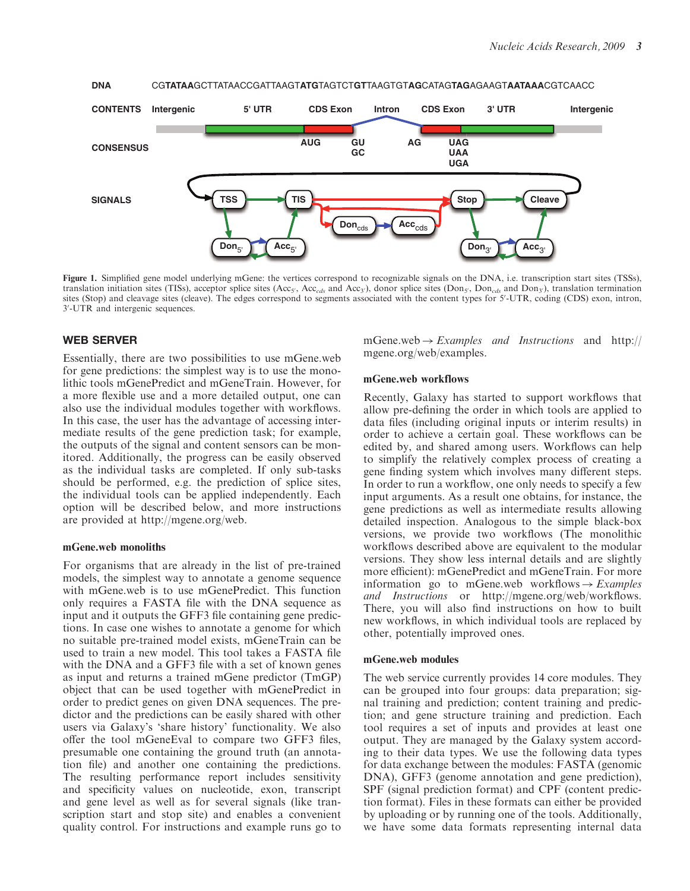



Figure 1. Simplified gene model underlying mGene: the vertices correspond to recognizable signals on the DNA, i.e. transcription start sites (TSSs), translation initiation sites (TISs), acceptor splice sites (Acc<sub>5</sub>, Acc<sub>cds</sub> and Acc<sub>3</sub>), donor splice sites (Don<sub>5</sub>, Don<sub>cds</sub> and Don<sub>3</sub>), translation termination sites (Stop) and cleavage sites (cleave). The edges correspond to segments associated with the content types for 5'-UTR, coding (CDS) exon, intron, 3'-UTR and intergenic sequences.

## WEB SERVER

Essentially, there are two possibilities to use mGene.web for gene predictions: the simplest way is to use the monolithic tools mGenePredict and mGeneTrain. However, for a more flexible use and a more detailed output, one can also use the individual modules together with workflows. In this case, the user has the advantage of accessing intermediate results of the gene prediction task; for example, the outputs of the signal and content sensors can be monitored. Additionally, the progress can be easily observed as the individual tasks are completed. If only sub-tasks should be performed, e.g. the prediction of splice sites, the individual tools can be applied independently. Each option will be described below, and more instructions are provided at http://mgene.org/web.

#### mGene.web monoliths

For organisms that are already in the list of pre-trained models, the simplest way to annotate a genome sequence with mGene.web is to use mGenePredict. This function only requires a FASTA file with the DNA sequence as input and it outputs the GFF3 file containing gene predictions. In case one wishes to annotate a genome for which no suitable pre-trained model exists, mGeneTrain can be used to train a new model. This tool takes a FASTA file with the DNA and a GFF3 file with a set of known genes as input and returns a trained mGene predictor (TmGP) object that can be used together with mGenePredict in order to predict genes on given DNA sequences. The predictor and the predictions can be easily shared with other users via Galaxy's 'share history' functionality. We also offer the tool mGeneEval to compare two GFF3 files, presumable one containing the ground truth (an annotation file) and another one containing the predictions. The resulting performance report includes sensitivity and specificity values on nucleotide, exon, transcript and gene level as well as for several signals (like transcription start and stop site) and enables a convenient quality control. For instructions and example runs go to mGene.web  $\rightarrow$  Examples and Instructions and http:// mgene.org/web/examples.

#### mGene.web workflows

Recently, Galaxy has started to support workflows that allow pre-defining the order in which tools are applied to data files (including original inputs or interim results) in order to achieve a certain goal. These workflows can be edited by, and shared among users. Workflows can help to simplify the relatively complex process of creating a gene finding system which involves many different steps. In order to run a workflow, one only needs to specify a few input arguments. As a result one obtains, for instance, the gene predictions as well as intermediate results allowing detailed inspection. Analogous to the simple black-box versions, we provide two workflows (The monolithic workflows described above are equivalent to the modular versions. They show less internal details and are slightly more efficient): mGenePredict and mGeneTrain. For more information go to mGene.web workflows  $\rightarrow$  *Examples* and Instructions or http://mgene.org/web/workflows. There, you will also find instructions on how to built new workflows, in which individual tools are replaced by other, potentially improved ones.

#### mGene.web modules

The web service currently provides 14 core modules. They can be grouped into four groups: data preparation; signal training and prediction; content training and prediction; and gene structure training and prediction. Each tool requires a set of inputs and provides at least one output. They are managed by the Galaxy system according to their data types. We use the following data types for data exchange between the modules: FASTA (genomic DNA), GFF3 (genome annotation and gene prediction), SPF (signal prediction format) and CPF (content prediction format). Files in these formats can either be provided by uploading or by running one of the tools. Additionally, we have some data formats representing internal data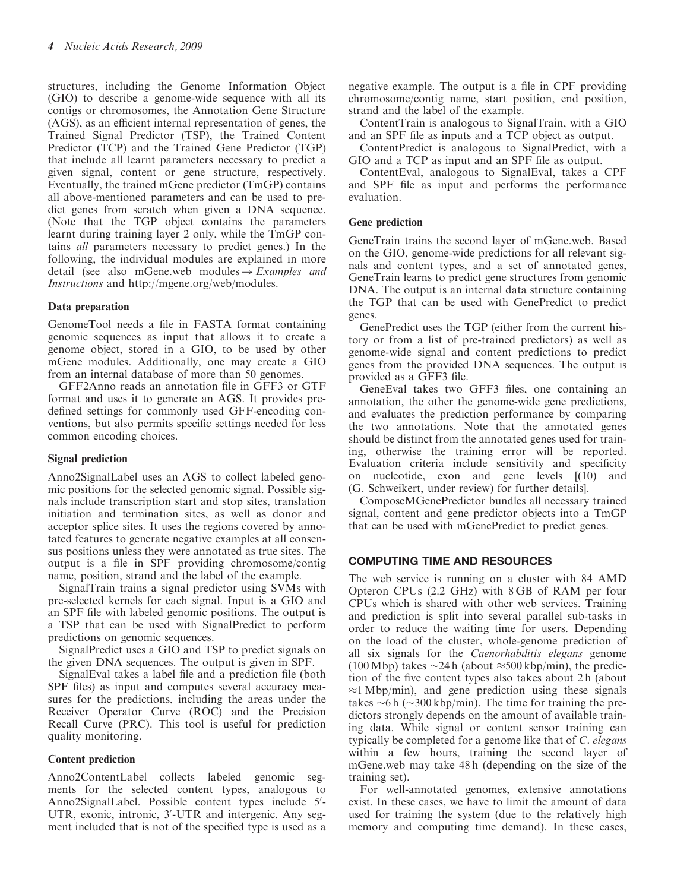structures, including the Genome Information Object (GIO) to describe a genome-wide sequence with all its contigs or chromosomes, the Annotation Gene Structure (AGS), as an efficient internal representation of genes, the Trained Signal Predictor (TSP), the Trained Content Predictor (TCP) and the Trained Gene Predictor (TGP) that include all learnt parameters necessary to predict a given signal, content or gene structure, respectively. Eventually, the trained mGene predictor (TmGP) contains all above-mentioned parameters and can be used to predict genes from scratch when given a DNA sequence. (Note that the TGP object contains the parameters learnt during training layer 2 only, while the TmGP contains all parameters necessary to predict genes.) In the following, the individual modules are explained in more detail (see also mGene.web modules  $\rightarrow$  Examples and Instructions and http://mgene.org/web/modules.

## Data preparation

GenomeTool needs a file in FASTA format containing genomic sequences as input that allows it to create a genome object, stored in a GIO, to be used by other mGene modules. Additionally, one may create a GIO from an internal database of more than 50 genomes.

GFF2Anno reads an annotation file in GFF3 or GTF format and uses it to generate an AGS. It provides predefined settings for commonly used GFF-encoding conventions, but also permits specific settings needed for less common encoding choices.

## Signal prediction

Anno2SignalLabel uses an AGS to collect labeled genomic positions for the selected genomic signal. Possible signals include transcription start and stop sites, translation initiation and termination sites, as well as donor and acceptor splice sites. It uses the regions covered by annotated features to generate negative examples at all consensus positions unless they were annotated as true sites. The output is a file in SPF providing chromosome/contig name, position, strand and the label of the example.

SignalTrain trains a signal predictor using SVMs with pre-selected kernels for each signal. Input is a GIO and an SPF file with labeled genomic positions. The output is a TSP that can be used with SignalPredict to perform predictions on genomic sequences.

SignalPredict uses a GIO and TSP to predict signals on the given DNA sequences. The output is given in SPF.

SignalEval takes a label file and a prediction file (both SPF files) as input and computes several accuracy measures for the predictions, including the areas under the Receiver Operator Curve (ROC) and the Precision Recall Curve (PRC). This tool is useful for prediction quality monitoring.

## Content prediction

Anno2ContentLabel collects labeled genomic segments for the selected content types, analogous to Anno2SignalLabel. Possible content types include 5'-UTR, exonic, intronic, 3'-UTR and intergenic. Any segment included that is not of the specified type is used as a negative example. The output is a file in CPF providing chromosome/contig name, start position, end position, strand and the label of the example.

ContentTrain is analogous to SignalTrain, with a GIO and an SPF file as inputs and a TCP object as output.

ContentPredict is analogous to SignalPredict, with a GIO and a TCP as input and an SPF file as output.

ContentEval, analogous to SignalEval, takes a CPF and SPF file as input and performs the performance evaluation.

## Gene prediction

GeneTrain trains the second layer of mGene.web. Based on the GIO, genome-wide predictions for all relevant signals and content types, and a set of annotated genes, GeneTrain learns to predict gene structures from genomic DNA. The output is an internal data structure containing. the TGP that can be used with GenePredict to predict genes.

GenePredict uses the TGP (either from the current history or from a list of pre-trained predictors) as well as genome-wide signal and content predictions to predict genes from the provided DNA sequences. The output is provided as a GFF3 file.

GeneEval takes two GFF3 files, one containing an annotation, the other the genome-wide gene predictions, and evaluates the prediction performance by comparing the two annotations. Note that the annotated genes should be distinct from the annotated genes used for training, otherwise the training error will be reported. Evaluation criteria include sensitivity and specificity on nucleotide, exon and gene levels [(10) and (G. Schweikert, under review) for further details].

ComposeMGenePredictor bundles all necessary trained signal, content and gene predictor objects into a TmGP that can be used with mGenePredict to predict genes.

# COMPUTING TIME AND RESOURCES

The web service is running on a cluster with 84 AMD Opteron CPUs (2.2 GHz) with 8 GB of RAM per four CPUs which is shared with other web services. Training and prediction is split into several parallel sub-tasks in order to reduce the waiting time for users. Depending on the load of the cluster, whole-genome prediction of all six signals for the Caenorhabditis elegans genome (100 Mbp) takes  $\sim$ 24 h (about  $\approx$ 500 kbp/min), the prediction of the five content types also takes about 2 h (about  $\approx$ 1 Mbp/min), and gene prediction using these signals takes  $\sim$  6h ( $\sim$ 300 kbp/min). The time for training the predictors strongly depends on the amount of available training data. While signal or content sensor training can typically be completed for a genome like that of C. elegans within a few hours, training the second layer of mGene.web may take 48 h (depending on the size of the training set).

For well-annotated genomes, extensive annotations exist. In these cases, we have to limit the amount of data used for training the system (due to the relatively high memory and computing time demand). In these cases,